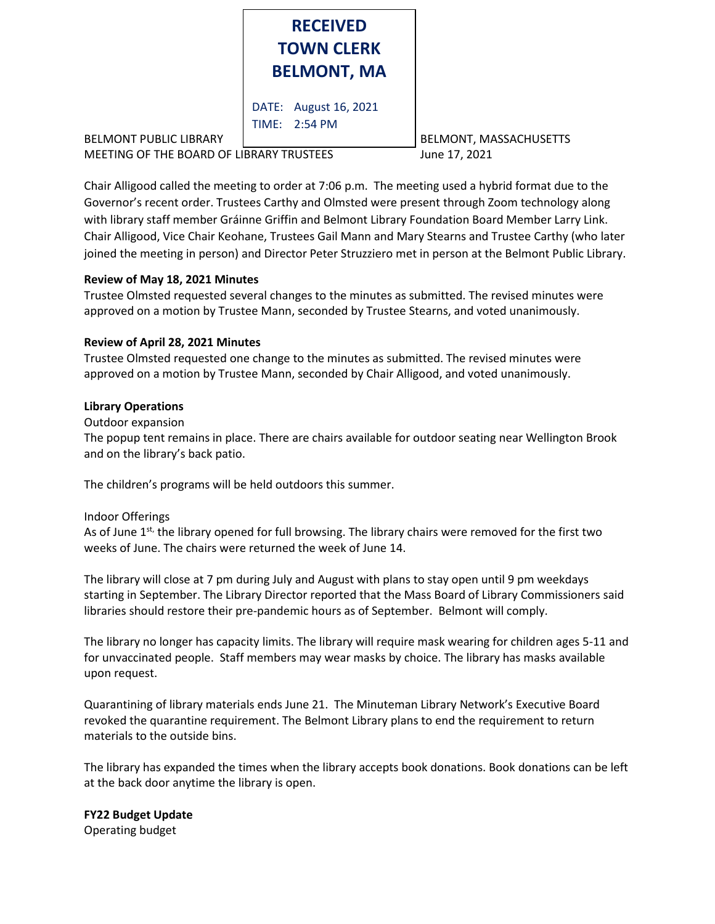

BELMONT PUBLIC LIBRARY BELMONT, MASSACHUSETTS MEETING OF THE BOARD OF LIBRARY TRUSTEES June 17, 2021

Chair Alligood called the meeting to order at 7:06 p.m. The meeting used a hybrid format due to the Governor's recent order. Trustees Carthy and Olmsted were present through Zoom technology along with library staff member Gráinne Griffin and Belmont Library Foundation Board Member Larry Link. Chair Alligood, Vice Chair Keohane, Trustees Gail Mann and Mary Stearns and Trustee Carthy (who later joined the meeting in person) and Director Peter Struzziero met in person at the Belmont Public Library.

## **Review of May 18, 2021 Minutes**

Trustee Olmsted requested several changes to the minutes as submitted. The revised minutes were approved on a motion by Trustee Mann, seconded by Trustee Stearns, and voted unanimously.

# **Review of April 28, 2021 Minutes**

Trustee Olmsted requested one change to the minutes as submitted. The revised minutes were approved on a motion by Trustee Mann, seconded by Chair Alligood, and voted unanimously.

# **Library Operations**

#### Outdoor expansion

The popup tent remains in place. There are chairs available for outdoor seating near Wellington Brook and on the library's back patio.

The children's programs will be held outdoors this summer.

## Indoor Offerings

As of June 1<sup>st,</sup> the library opened for full browsing. The library chairs were removed for the first two weeks of June. The chairs were returned the week of June 14.

The library will close at 7 pm during July and August with plans to stay open until 9 pm weekdays starting in September. The Library Director reported that the Mass Board of Library Commissioners said libraries should restore their pre-pandemic hours as of September. Belmont will comply.

The library no longer has capacity limits. The library will require mask wearing for children ages 5-11 and for unvaccinated people. Staff members may wear masks by choice. The library has masks available upon request.

Quarantining of library materials ends June 21. The Minuteman Library Network's Executive Board revoked the quarantine requirement. The Belmont Library plans to end the requirement to return materials to the outside bins.

The library has expanded the times when the library accepts book donations. Book donations can be left at the back door anytime the library is open.

# **FY22 Budget Update**

Operating budget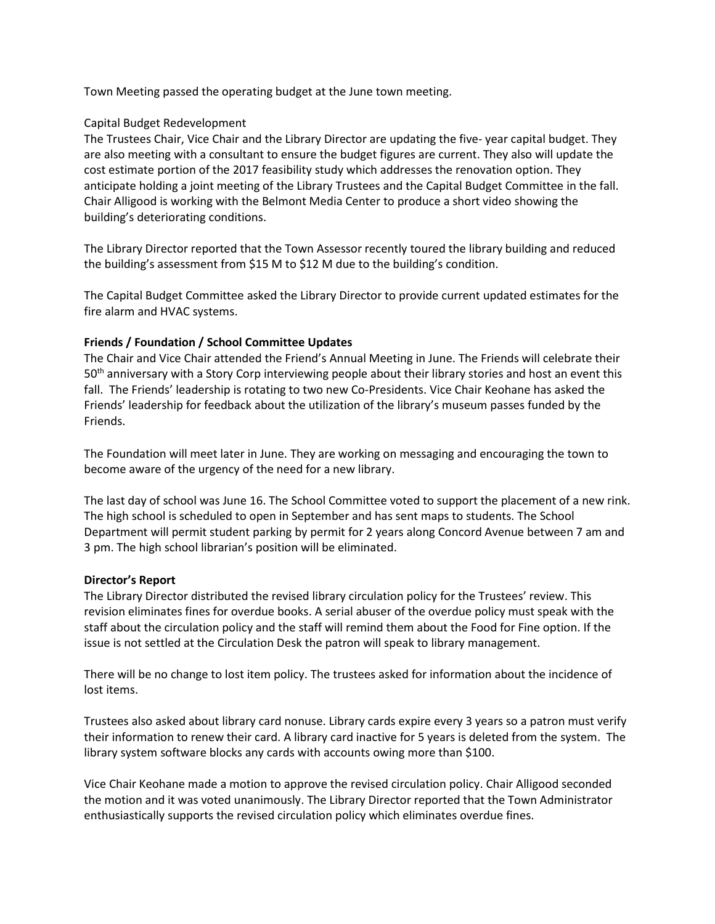Town Meeting passed the operating budget at the June town meeting.

#### Capital Budget Redevelopment

The Trustees Chair, Vice Chair and the Library Director are updating the five- year capital budget. They are also meeting with a consultant to ensure the budget figures are current. They also will update the cost estimate portion of the 2017 feasibility study which addresses the renovation option. They anticipate holding a joint meeting of the Library Trustees and the Capital Budget Committee in the fall. Chair Alligood is working with the Belmont Media Center to produce a short video showing the building's deteriorating conditions.

The Library Director reported that the Town Assessor recently toured the library building and reduced the building's assessment from \$15 M to \$12 M due to the building's condition.

The Capital Budget Committee asked the Library Director to provide current updated estimates for the fire alarm and HVAC systems.

## **Friends / Foundation / School Committee Updates**

The Chair and Vice Chair attended the Friend's Annual Meeting in June. The Friends will celebrate their 50<sup>th</sup> anniversary with a Story Corp interviewing people about their library stories and host an event this fall. The Friends' leadership is rotating to two new Co-Presidents. Vice Chair Keohane has asked the Friends' leadership for feedback about the utilization of the library's museum passes funded by the Friends.

The Foundation will meet later in June. They are working on messaging and encouraging the town to become aware of the urgency of the need for a new library.

The last day of school was June 16. The School Committee voted to support the placement of a new rink. The high school is scheduled to open in September and has sent maps to students. The School Department will permit student parking by permit for 2 years along Concord Avenue between 7 am and 3 pm. The high school librarian's position will be eliminated.

#### **Director's Report**

The Library Director distributed the revised library circulation policy for the Trustees' review. This revision eliminates fines for overdue books. A serial abuser of the overdue policy must speak with the staff about the circulation policy and the staff will remind them about the Food for Fine option. If the issue is not settled at the Circulation Desk the patron will speak to library management.

There will be no change to lost item policy. The trustees asked for information about the incidence of lost items.

Trustees also asked about library card nonuse. Library cards expire every 3 years so a patron must verify their information to renew their card. A library card inactive for 5 years is deleted from the system. The library system software blocks any cards with accounts owing more than \$100.

Vice Chair Keohane made a motion to approve the revised circulation policy. Chair Alligood seconded the motion and it was voted unanimously. The Library Director reported that the Town Administrator enthusiastically supports the revised circulation policy which eliminates overdue fines.